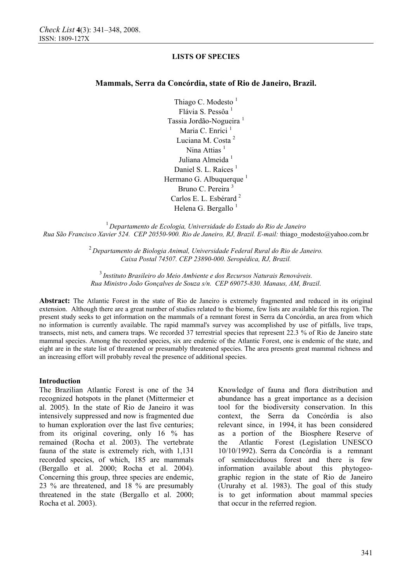## **Mammals, Serra da Concórdia, state of Rio de Janeiro, Brazil.**

Thiago C. Modesto $1$ Flávia S. Pessôa<sup>1</sup> Tassia Jordão-Nogueira<sup>1</sup> Maria C. Enrici<sup>1</sup> Luciana M. Costa<sup>2</sup> Nina Attias $<sup>1</sup>$ </sup> Juliana Almeida<sup>1</sup> Daniel S. L. Raíces<sup>1</sup> Hermano G. Albuquerque<sup>1</sup> Bruno C. Pereira <sup>3</sup> Carlos E. L. Esbérard<sup>2</sup> Helena G. Bergallo $<sup>1</sup>$ </sup>

<sup>1</sup> *Departamento de Ecologia, Universidade do Estado do Rio de Janeiro Rua São Francisco Xavier 524. CEP 20550-900. Rio de Janeiro, RJ, Brazil. E-mail:* thiago\_modesto@yahoo.com.br

> <sup>2</sup>*Departamento de Biologia Animal, Universidade Federal Rural do Rio de Janeiro. Caixa Postal 74507. CEP 23890-000. Seropédica, RJ, Brazil.*

<sup>3</sup> *Instituto Brasileiro do Meio Ambiente e dos Recursos Naturais Renováveis. Rua Ministro João Gonçalves de Souza s/n. CEP 69075-830. Manaus, AM, Brazil*.

**Abstract:** The Atlantic Forest in the state of Rio de Janeiro is extremely fragmented and reduced in its original extension. Although there are a great number of studies related to the biome, few lists are available for this region. The present study seeks to get information on the mammals of a remnant forest in Serra da Concórdia, an area from which no information is currently available. The rapid mammal's survey was accomplished by use of pitfalls, live traps, transects, mist nets, and camera traps. We recorded 37 terrestrial species that represent 22.3 % of Rio de Janeiro state mammal species. Among the recorded species, six are endemic of the Atlantic Forest, one is endemic of the state, and eight are in the state list of threatened or presumably threatened species. The area presents great mammal richness and an increasing effort will probably reveal the presence of additional species.

#### **Introduction**

The Brazilian Atlantic Forest is one of the 34 recognized hotspots in the planet (Mittermeier et al. 2005). In the state of Rio de Janeiro it was intensively suppressed and now is fragmented due to human exploration over the last five centuries; from its original covering, only 16 % has remained (Rocha et al. 2003). The vertebrate fauna of the state is extremely rich, with 1,131 recorded species, of which, 185 are mammals (Bergallo et al. 2000; Rocha et al. 2004). Concerning this group, three species are endemic, 23 % are threatened, and 18 % are presumably threatened in the state (Bergallo et al. 2000; Rocha et al. 2003).

Knowledge of fauna and flora distribution and abundance has a great importance as a decision tool for the biodiversity conservation. In this context, the Serra da Concórdia is also relevant since, in 1994, it has been considered as a portion of the Biosphere Reserve of the Atlantic Forest (Legislation UNESCO 10/10/1992). Serra da Concórdia is a remnant of semideciduous forest and there is few information available about this phytogeographic region in the state of Rio de Janeiro (Ururahy et al. 1983). The goal of this study is to get information about mammal species that occur in the referred region.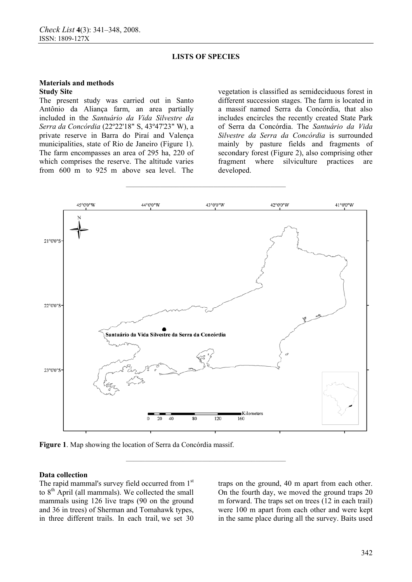**\_\_\_\_\_\_\_\_\_\_\_\_\_\_\_\_\_\_\_\_\_\_\_\_\_\_\_\_\_\_\_\_\_\_\_\_\_\_\_\_\_\_** 

#### **Materials and methods Study Site**

The present study was carried out in Santo Antônio da Aliança farm, an area partially included in the *Santuário da Vida Silvestre da Serra da Concórdia* (22º22'18" S, 43º47'23" W), a private reserve in Barra do Piraí and Valença municipalities, state of Rio de Janeiro (Figure 1). The farm encompasses an area of 295 ha, 220 of which comprises the reserve. The altitude varies from 600 m to 925 m above sea level. The

vegetation is classified as semideciduous forest in different succession stages. The farm is located in a massif named Serra da Concórdia, that also includes encircles the recently created State Park of Serra da Concórdia. The *Santuário da Vida Silvestre da Serra da Concórdia* is surrounded mainly by pasture fields and fragments of secondary forest (Figure 2), also comprising other fragment where silviculture practices are developed.



**\_\_\_\_\_\_\_\_\_\_\_\_\_\_\_\_\_\_\_\_\_\_\_\_\_\_\_\_\_\_\_\_\_\_\_\_\_\_\_\_\_\_** 

**Figure 1**. Map showing the location of Serra da Concórdia massif.

#### **Data collection**

The rapid mammal's survey field occurred from 1st to  $8<sup>th</sup>$  April (all mammals). We collected the small mammals using 126 live traps (90 on the ground and 36 in trees) of Sherman and Tomahawk types, in three different trails. In each trail, we set 30

traps on the ground, 40 m apart from each other. On the fourth day, we moved the ground traps 20 m forward. The traps set on trees (12 in each trail) were 100 m apart from each other and were kept in the same place during all the survey. Baits used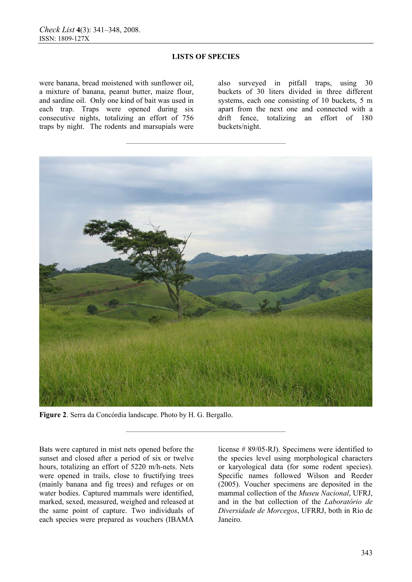**\_\_\_\_\_\_\_\_\_\_\_\_\_\_\_\_\_\_\_\_\_\_\_\_\_\_\_\_\_\_\_\_\_\_\_\_\_\_\_\_\_\_** 

were banana, bread moistened with sunflower oil, a mixture of banana, peanut butter, maize flour, and sardine oil. Only one kind of bait was used in each trap. Traps were opened during six consecutive nights, totalizing an effort of 756 traps by night. The rodents and marsupials were

also surveyed in pitfall traps, using 30 buckets of 30 liters divided in three different systems, each one consisting of 10 buckets, 5 m apart from the next one and connected with a drift fence, totalizing an effort of 180 buckets/night.



**\_\_\_\_\_\_\_\_\_\_\_\_\_\_\_\_\_\_\_\_\_\_\_\_\_\_\_\_\_\_\_\_\_\_\_\_\_\_\_\_\_\_** 

**Figure 2**. Serra da Concórdia landscape. Photo by H. G. Bergallo.

Bats were captured in mist nets opened before the sunset and closed after a period of six or twelve hours, totalizing an effort of 5220 m/h-nets. Nets were opened in trails, close to fructifying trees (mainly banana and fig trees) and refuges or on water bodies. Captured mammals were identified, marked, sexed, measured, weighed and released at the same point of capture. Two individuals of each species were prepared as vouchers (IBAMA

license # 89/05-RJ). Specimens were identified to the species level using morphological characters or karyological data (for some rodent species). Specific names followed Wilson and Reeder (2005). Voucher specimens are deposited in the mammal collection of the *Museu Nacional*, UFRJ, and in the bat collection of the *Laboratório de Diversidade de Morcegos*, UFRRJ, both in Rio de Janeiro.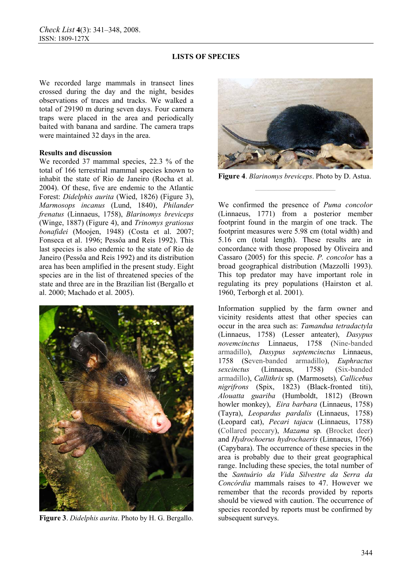We recorded large mammals in transect lines crossed during the day and the night, besides observations of traces and tracks. We walked a total of 29190 m during seven days. Four camera traps were placed in the area and periodically baited with banana and sardine. The camera traps were maintained 32 days in the area.

## **Results and discussion**

We recorded 37 mammal species, 22.3 % of the total of 166 terrestrial mammal species known to inhabit the state of Rio de Janeiro (Rocha et al. 2004). Of these, five are endemic to the Atlantic Forest: *Didelphis aurita* (Wied, 1826) (Figure 3), *Marmosops incanus* (Lund, 1840), *Philander frenatus* (Linnaeus, 1758), *Blarinomys breviceps*  (Winge, 1887) (Figure 4), and *Trinomys gratiosus bonafidei* (Moojen, 1948) (Costa et al. 2007; Fonseca et al. 1996; Pessôa and Reis 1992). This last species is also endemic to the state of Rio de Janeiro (Pessôa and Reis 1992) and its distribution area has been amplified in the present study. Eight species are in the list of threatened species of the state and three are in the Brazilian list (Bergallo et al. 2000; Machado et al. 2005).



**Figure 3**. *Didelphis aurita*. Photo by H. G. Bergallo.



**Figure 4**. *Blarinomys breviceps*. Photo by D. Astua.

We confirmed the presence of *Puma concolor*  (Linnaeus, 1771) from a posterior member footprint found in the margin of one track. The footprint measures were 5.98 cm (total width) and 5.16 cm (total length). These results are in concordance with those proposed by Oliveira and Cassaro (2005) for this specie. *P. concolor* has a broad geographical distribution (Mazzolli 1993). This top predator may have important role in regulating its prey populations (Hairston et al. 1960, Terborgh et al. 2001).

Information supplied by the farm owner and vicinity residents attest that other species can occur in the area such as: *Tamandua tetradactyla*  (Linnaeus, 1758) (Lesser anteater), *Dasypus novemcinctus* Linnaeus, 1758 (Nine-banded armadillo), *Dasypus septemcinctus* Linnaeus, 1758 (Seven-banded armadillo), *Euphractus sexcinctus* (Linnaeus, 1758) (Six-banded armadillo), *Callithrix* sp*.* (Marmosets)*, Callicebus nigrifrons* (Spix, 1823) (Black-fronted titi), *Alouatta guariba* (Humboldt, 1812) (Brown howler monkey), *Eira barbara* (Linnaeus, 1758) (Tayra), *Leopardus pardalis* (Linnaeus, 1758) (Leopard cat), *Pecari tajacu* (Linnaeus, 1758) (Collared peccary), *Mazama* sp*.* (Brocket deer) and *Hydrochoerus hydrochaeris* (Linnaeus, 1766) (Capybara). The occurrence of these species in the area is probably due to their great geographical range. Including these species, the total number of the *Santuário da Vida Silvestre da Serra da Concórdia* mammals raises to 47. However we remember that the records provided by reports should be viewed with caution. The occurrence of species recorded by reports must be confirmed by subsequent surveys.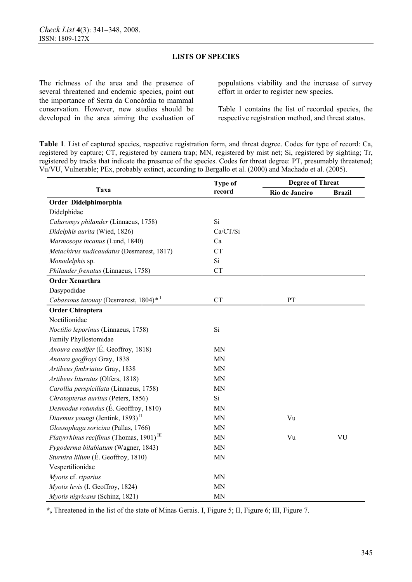The richness of the area and the presence of several threatened and endemic species, point out the importance of Serra da Concórdia to mammal conservation. However, new studies should be developed in the area aiming the evaluation of populations viability and the increase of survey effort in order to register new species.

Table 1 contains the list of recorded species, the respective registration method, and threat status.

**Table 1**. List of captured species, respective registration form, and threat degree. Codes for type of record: Ca, registered by capture; CT, registered by camera trap; MN, registered by mist net; Si, registered by sighting; Tr, registered by tracks that indicate the presence of the species. Codes for threat degree: PT, presumably threatened; Vu/VU, Vulnerable; PEx, probably extinct, according to Bergallo et al. (2000) and Machado et al. (2005).

| Taxa                                                  | <b>Type of</b><br>record | <b>Degree of Threat</b> |               |
|-------------------------------------------------------|--------------------------|-------------------------|---------------|
|                                                       |                          | Rio de Janeiro          | <b>Brazil</b> |
| Order Didelphimorphia                                 |                          |                         |               |
| Didelphidae                                           |                          |                         |               |
| Caluromys philander (Linnaeus, 1758)                  | Si                       |                         |               |
| Didelphis aurita (Wied, 1826)                         | Ca/CT/Si                 |                         |               |
| Marmosops incanus (Lund, 1840)                        | Ca                       |                         |               |
| Metachirus nudicaudatus (Desmarest, 1817)             | <b>CT</b>                |                         |               |
| Monodelphis sp.                                       | Si                       |                         |               |
| Philander frenatus (Linnaeus, 1758)                   | <b>CT</b>                |                         |               |
| <b>Order Xenarthra</b>                                |                          |                         |               |
| Dasypodidae                                           |                          |                         |               |
| Cabassous tatouay (Desmarest, 1804)* <sup>1</sup>     | <b>CT</b>                | PT                      |               |
| <b>Order Chiroptera</b>                               |                          |                         |               |
| Noctilionidae                                         |                          |                         |               |
| Noctilio leporinus (Linnaeus, 1758)                   | Si                       |                         |               |
| Family Phyllostomidae                                 |                          |                         |               |
| Anoura caudifer (É. Geoffroy, 1818)                   | <b>MN</b>                |                         |               |
| Anoura geoffroyi Gray, 1838                           | <b>MN</b>                |                         |               |
| Artibeus fimbriatus Gray, 1838                        | <b>MN</b>                |                         |               |
| Artibeus lituratus (Olfers, 1818)                     | <b>MN</b>                |                         |               |
| Carollia perspicillata (Linnaeus, 1758)               | MN                       |                         |               |
| Chrotopterus auritus (Peters, 1856)                   | Si                       |                         |               |
| Desmodus rotundus (É. Geoffroy, 1810)                 | <b>MN</b>                |                         |               |
| Diaemus youngi (Jentink, 1893) <sup>II</sup>          | <b>MN</b>                | Vu                      |               |
| Glossophaga soricina (Pallas, 1766)                   | <b>MN</b>                |                         |               |
| Platyrrhinus recifinus (Thomas, 1901) $^{\text{III}}$ | <b>MN</b>                | Vu                      | VU            |
| Pygoderma bilabiatum (Wagner, 1843)                   | <b>MN</b>                |                         |               |
| Sturnira lilium (É. Geoffroy, 1810)                   | <b>MN</b>                |                         |               |
| Vespertilionidae                                      |                          |                         |               |
| Myotis cf. riparius                                   | <b>MN</b>                |                         |               |
| Myotis levis (I. Geoffroy, 1824)                      | <b>MN</b>                |                         |               |
| Myotis nigricans (Schinz, 1821)                       | MN                       |                         |               |

**\*,** Threatened in the list of the state of Minas Gerais. I, Figure 5; II, Figure 6; III, Figure 7.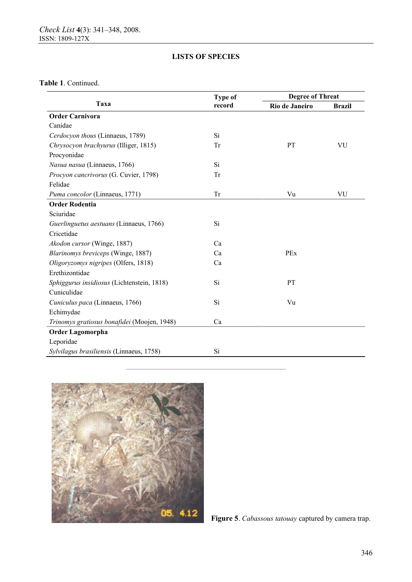**Table 1**. Continued.

| Taxa                                        | <b>Type of</b><br>record | <b>Degree of Threat</b> |               |
|---------------------------------------------|--------------------------|-------------------------|---------------|
|                                             |                          | Rio de Janeiro          | <b>Brazil</b> |
| <b>Order Carnivora</b>                      |                          |                         |               |
| Canidae                                     |                          |                         |               |
| Cerdocyon thous (Linnaeus, 1789)            | Si                       |                         |               |
| Chrysocyon brachyurus (Illiger, 1815)       | Tr                       | PT                      | VU            |
| Procyonidae                                 |                          |                         |               |
| Nasua nasua (Linnaeus, 1766)                | Si                       |                         |               |
| Procyon cancrivorus (G. Cuvier, 1798)       | Tr                       |                         |               |
| Felidae                                     |                          |                         |               |
| Puma concolor (Linnaeus, 1771)              | <b>Tr</b>                | Vu                      | VU            |
| <b>Order Rodentia</b>                       |                          |                         |               |
| Sciuridae                                   |                          |                         |               |
| Guerlinguetus aestuans (Linnaeus, 1766)     | Si                       |                         |               |
| Cricetidae                                  |                          |                         |               |
| Akodon cursor (Winge, 1887)                 | Ca                       |                         |               |
| Blarinomys breviceps (Winge, 1887)          | Ca                       | PEx                     |               |
| Oligoryzomys nigripes (Olfers, 1818)        | Ca                       |                         |               |
| Erethizontidae                              |                          |                         |               |
| Sphiggurus insidiosus (Lichtenstein, 1818)  | Si                       | PT                      |               |
| Cuniculidae                                 |                          |                         |               |
| Cuniculus paca (Linnaeus, 1766)             | Si                       | Vu                      |               |
| Echimydae                                   |                          |                         |               |
| Trinomys gratiosus bonafidei (Moojen, 1948) | Ca                       |                         |               |
| Order Lagomorpha                            |                          |                         |               |
| Leporidae                                   |                          |                         |               |
| Sylvilagus brasiliensis (Linnaeus, 1758)    | Si                       |                         |               |

**\_\_\_\_\_\_\_\_\_\_\_\_\_\_\_\_\_\_\_\_\_\_\_\_\_\_\_\_\_\_\_\_\_\_\_\_\_\_\_\_\_\_** 



**Figure 5**. *Cabassous tatouay* captured by camera trap.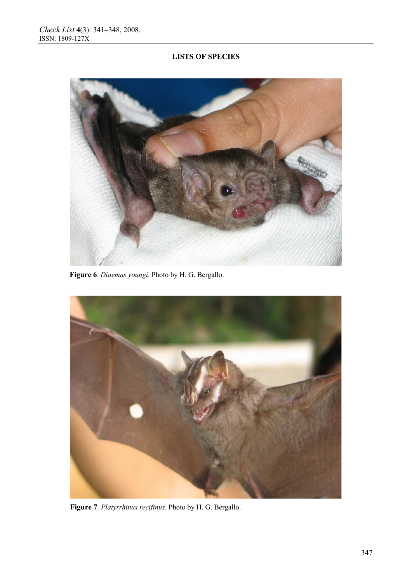

 **Figure 6**. *Diaemus youngi*. Photo by H. G. Bergallo.



**Figure 7**. *Platyrrhinus recifinus*. Photo by H. G. Bergallo.